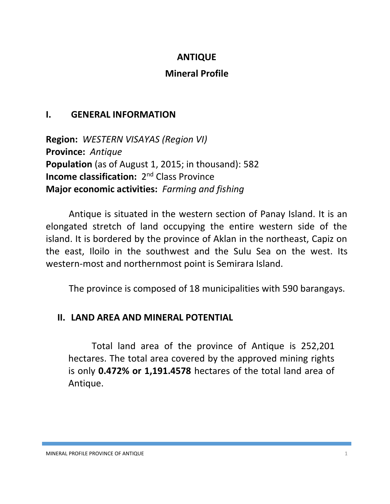## **ANTIQUE**

## **Mineral Profile**

## **I. GENERAL INFORMATION**

**Region:** *WESTERN VISAYAS (Region VI)* **Province:** *Antique* **Population** (as of August 1, 2015; in thousand): 582 **Income classification:** 2<sup>nd</sup> Class Province **Major economic activities:** *Farming and fishing*

Antique is situated in the western section of Panay Island. It is an elongated stretch of land occupying the entire western side of the island. It is bordered by the province of Aklan in the northeast, Capiz on the east, Iloilo in the southwest and the Sulu Sea on the west. Its western-most and northernmost point is Semirara Island.

The province is composed of 18 municipalities with 590 barangays.

# **II. LAND AREA AND MINERAL POTENTIAL**

Total land area of the province of Antique is 252,201 hectares. The total area covered by the approved mining rights is only **0.472% or 1,191.4578** hectares of the total land area of Antique.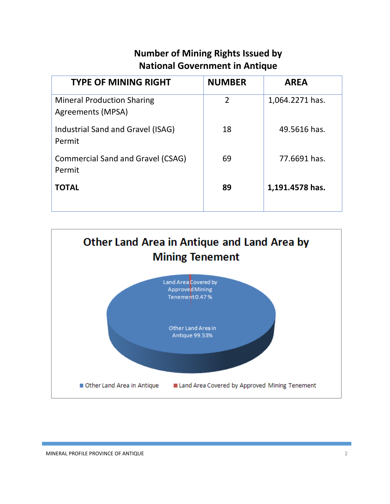# **Number of Mining Rights Issued by National Government in Antique**

| <b>TYPE OF MINING RIGHT</b>                            | <b>NUMBER</b>  | <b>AREA</b>     |
|--------------------------------------------------------|----------------|-----------------|
| <b>Mineral Production Sharing</b><br>Agreements (MPSA) | $\overline{2}$ | 1,064.2271 has. |
| Industrial Sand and Gravel (ISAG)<br>Permit            | 18             | 49.5616 has.    |
| <b>Commercial Sand and Gravel (CSAG)</b><br>Permit     | 69             | 77.6691 has.    |
| <b>TOTAL</b>                                           | 89             | 1,191.4578 has. |

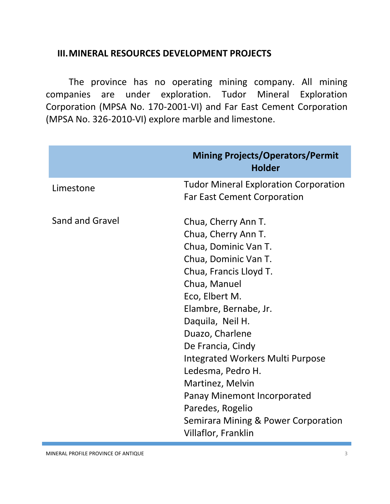#### **III.MINERAL RESOURCES DEVELOPMENT PROJECTS**

The province has no operating mining company. All mining companies are under exploration. Tudor Mineral Exploration Corporation (MPSA No. 170-2001-VI) and Far East Cement Corporation (MPSA No. 326-2010-VI) explore marble and limestone.

|                        | <b>Mining Projects/Operators/Permit</b><br><b>Holder</b>                                                                                                                                                                                                                                                                                                                                                                                         |  |
|------------------------|--------------------------------------------------------------------------------------------------------------------------------------------------------------------------------------------------------------------------------------------------------------------------------------------------------------------------------------------------------------------------------------------------------------------------------------------------|--|
| Limestone              | <b>Tudor Mineral Exploration Corporation</b><br><b>Far East Cement Corporation</b>                                                                                                                                                                                                                                                                                                                                                               |  |
| <b>Sand and Gravel</b> | Chua, Cherry Ann T.<br>Chua, Cherry Ann T.<br>Chua, Dominic Van T.<br>Chua, Dominic Van T.<br>Chua, Francis Lloyd T.<br>Chua, Manuel<br>Eco, Elbert M.<br>Elambre, Bernabe, Jr.<br>Daquila, Neil H.<br>Duazo, Charlene<br>De Francia, Cindy<br><b>Integrated Workers Multi Purpose</b><br>Ledesma, Pedro H.<br>Martinez, Melvin<br>Panay Minemont Incorporated<br>Paredes, Rogelio<br>Semirara Mining & Power Corporation<br>Villaflor, Franklin |  |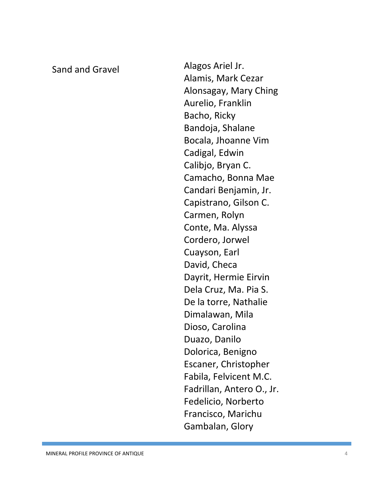Sand and Gravel **Alagos Ariel Jr.** Alamis, Mark Cezar Alonsagay, Mary Ching Aurelio, Franklin Bacho, Ricky Bandoja, Shalane Bocala, Jhoanne Vim Cadigal, Edwin Calibjo, Bryan C. Camacho, Bonna Mae Candari Benjamin, Jr. Capistrano, Gilson C. Carmen, Rolyn Conte, Ma. Alyssa Cordero, Jorwel Cuayson, Earl David , Checa Dayrit, Hermie Eirvin Dela Cruz, Ma. Pia S. De la torre, Nathalie Dimalawan, Mila Dioso, Carolina Duazo, Danilo Dolorica, Benigno Escaner, Christopher Fabila, Felvicent M.C. Fadrillan, Antero O., Jr. Fedelicio, Norberto Francisco, Marichu Gambalan, Glory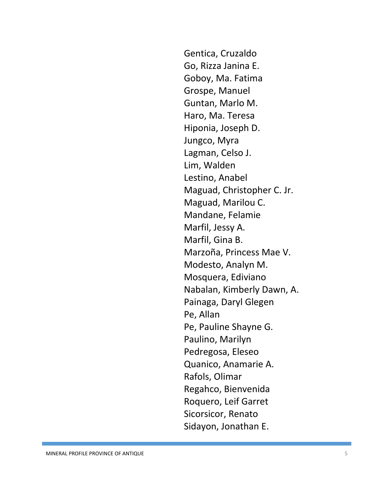Gentica, Cruzaldo Go, Rizza Janina E. Goboy, Ma. Fatima Grospe, Manuel Guntan, Marlo M. Haro, Ma. Teresa Hiponia, Joseph D. Jungco, Myra Lagman, Celso J. Lim, Walden Lestino, Anabel Maguad, Christopher C. Jr. Maguad, Marilou C. Mandane, Felamie Marfil, Jessy A. Marfil, Gina B. Marzoña, Princess Mae V. Modesto, Analyn M. Mosquera, Ediviano Nabalan, Kimberly Dawn, A. Painaga, Daryl Glegen Pe, Allan Pe, Pauline Shayne G. Paulino, Marilyn Pedregosa, Eleseo Quanico, Anamarie A. Rafols, Olimar Regahco, Bienvenida Roquero, Leif Garret Sicorsicor, Renato Sidayon, Jonathan E.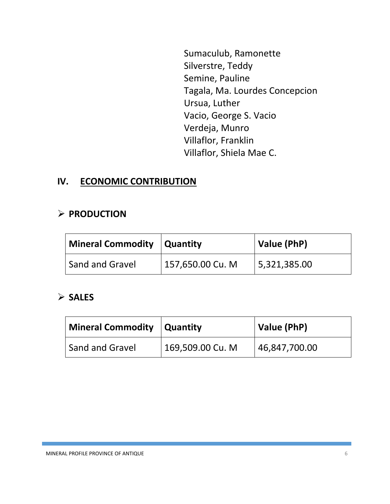Sumaculub, Ramonette Silverstre, Teddy Semine, Pauline Tagala, Ma. Lourdes Concepcion Ursua, Luther Vacio, George S. Vacio Verdeja, Munro Villaflor, Franklin Villaflor, Shiela Mae C.

#### **IV. ECONOMIC CONTRIBUTION**

#### **PRODUCTION**

| Mineral Commodity   Quantity |                  | Value (PhP)  |
|------------------------------|------------------|--------------|
| Sand and Gravel              | 157,650.00 Cu. M | 5,321,385.00 |

#### **SALES**

| Mineral Commodity   Quantity |                  | Value (PhP)   |
|------------------------------|------------------|---------------|
| <b>Sand and Gravel</b>       | 169,509.00 Cu. M | 46,847,700.00 |